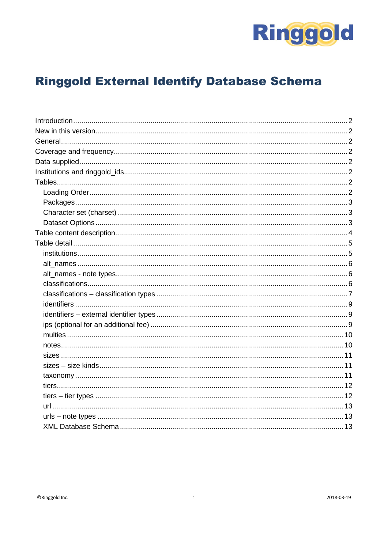

# **Ringgold External Identify Database Schema**

<span id="page-0-0"></span>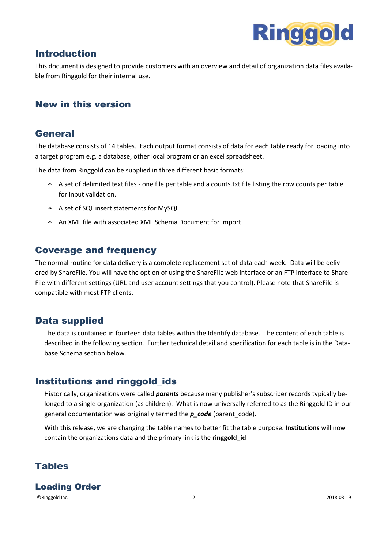

# Introduction

This document is designed to provide customers with an overview and detail of organization data files available from Ringgold for their internal use.

# <span id="page-1-0"></span>New in this version

### <span id="page-1-1"></span>General

The database consists of 14 tables. Each output format consists of data for each table ready for loading into a target program e.g. a database, other local program or an excel spreadsheet.

The data from Ringgold can be supplied in three different basic formats:

- $\uparrow$  A set of delimited text files one file per table and a counts.txt file listing the row counts per table for input validation.
- $\AA$  A set of SQL insert statements for MySQL
- A An XML file with associated XML Schema Document for import

### <span id="page-1-2"></span>Coverage and frequency

The normal routine for data delivery is a complete replacement set of data each week. Data will be delivered by ShareFile. You will have the option of using the ShareFile web interface or an FTP interface to Share-File with different settings (URL and user account settings that you control). Please note that ShareFile is compatible with most FTP clients.

# <span id="page-1-3"></span>Data supplied

The data is contained in fourteen data tables within the Identify database. The content of each table is described in the following section. Further technical detail and specification for each table is in the Database Schema section below.

# <span id="page-1-4"></span>Institutions and ringgold\_ids

Historically, organizations were called *parents* because many publisher's subscriber records typically belonged to a single organization (as children). What is now universally referred to as the Ringgold ID in our general documentation was originally termed the *p\_code* (parent\_code).

With this release, we are changing the table names to better fit the table purpose. **Institutions** will now contain the organizations data and the primary link is the **ringgold\_id**

# <span id="page-1-5"></span>Tables

<span id="page-1-6"></span>Loading Order

©Ringgold Inc. 2 2018-03-19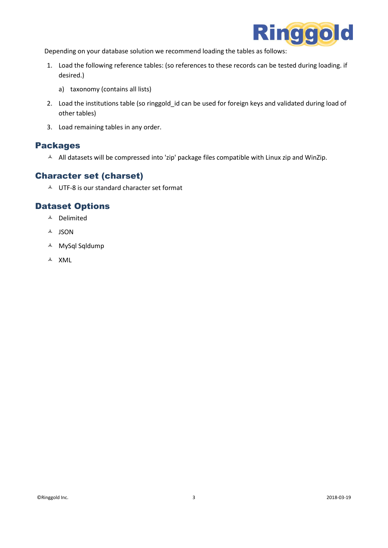

Depending on your database solution we recommend loading the tables as follows:

- 1. Load the following reference tables: (so references to these records can be tested during loading. if desired.)
	- a) taxonomy (contains all lists)
- 2. Load the institutions table (so ringgold id can be used for foreign keys and validated during load of other tables)
- 3. Load remaining tables in any order.

#### <span id="page-2-0"></span>Packages

 $\blacktriangle$  All datasets will be compressed into 'zip' package files compatible with Linux zip and WinZip.

### <span id="page-2-1"></span>Character set (charset)

 $\triangle$  UTF-8 is our standard character set format

#### <span id="page-2-2"></span>Dataset Options

- Delimited
- $A$  JSON
- MySql Sqldump
- $\triangle$  XML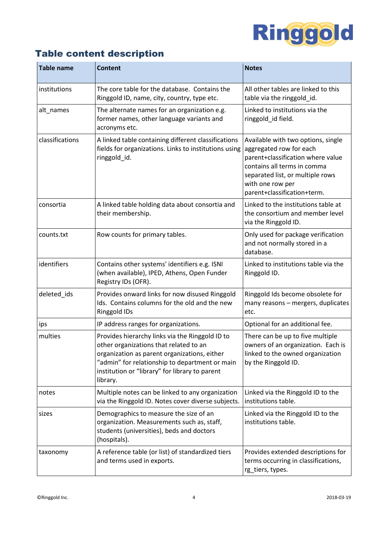

# <span id="page-3-0"></span>Table content description

| <b>Table name</b> | <b>Content</b>                                                                                                                                                                                                                                            | <b>Notes</b>                                                                                                                                                                                                             |
|-------------------|-----------------------------------------------------------------------------------------------------------------------------------------------------------------------------------------------------------------------------------------------------------|--------------------------------------------------------------------------------------------------------------------------------------------------------------------------------------------------------------------------|
| institutions      | The core table for the database. Contains the<br>Ringgold ID, name, city, country, type etc.                                                                                                                                                              | All other tables are linked to this<br>table via the ringgold id.                                                                                                                                                        |
| alt_names         | The alternate names for an organization e.g.<br>former names, other language variants and<br>acronyms etc.                                                                                                                                                | Linked to institutions via the<br>ringgold_id field.                                                                                                                                                                     |
| classifications   | A linked table containing different classifications<br>fields for organizations. Links to institutions using<br>ringgold_id.                                                                                                                              | Available with two options, single<br>aggregated row for each<br>parent+classification where value<br>contains all terms in comma<br>separated list, or multiple rows<br>with one row per<br>parent+classification+term. |
| consortia         | A linked table holding data about consortia and<br>their membership.                                                                                                                                                                                      | Linked to the institutions table at<br>the consortium and member level<br>via the Ringgold ID.                                                                                                                           |
| counts.txt        | Row counts for primary tables.                                                                                                                                                                                                                            | Only used for package verification<br>and not normally stored in a<br>database.                                                                                                                                          |
| identifiers       | Contains other systems' identifiers e.g. ISNI<br>(when available), IPED, Athens, Open Funder<br>Registry IDs (OFR).                                                                                                                                       | Linked to institutions table via the<br>Ringgold ID.                                                                                                                                                                     |
| deleted_ids       | Provides onward links for now disused Ringgold<br>Ids. Contains columns for the old and the new<br>Ringgold IDs                                                                                                                                           | Ringgold Ids become obsolete for<br>many reasons - mergers, duplicates<br>etc.                                                                                                                                           |
| ips               | IP address ranges for organizations.                                                                                                                                                                                                                      | Optional for an additional fee.                                                                                                                                                                                          |
| multies           | Provides hierarchy links via the Ringgold ID to<br>other organizations that related to an<br>organization as parent organizations, either<br>"admin" for relationship to department or main<br>institution or "library" for library to parent<br>library. | There can be up to five multiple<br>owners of an organization. Each is<br>linked to the owned organization<br>by the Ringgold ID.                                                                                        |
| notes             | Multiple notes can be linked to any organization<br>via the Ringgold ID. Notes cover diverse subjects.                                                                                                                                                    | Linked via the Ringgold ID to the<br>institutions table.                                                                                                                                                                 |
| sizes             | Demographics to measure the size of an<br>organization. Measurements such as, staff,<br>students (universities), beds and doctors<br>(hospitals).                                                                                                         | Linked via the Ringgold ID to the<br>institutions table.                                                                                                                                                                 |
| taxonomy          | A reference table (or list) of standardized tiers<br>and terms used in exports.                                                                                                                                                                           | Provides extended descriptions for<br>terms occurring in classifications,<br>rg_tiers, types.                                                                                                                            |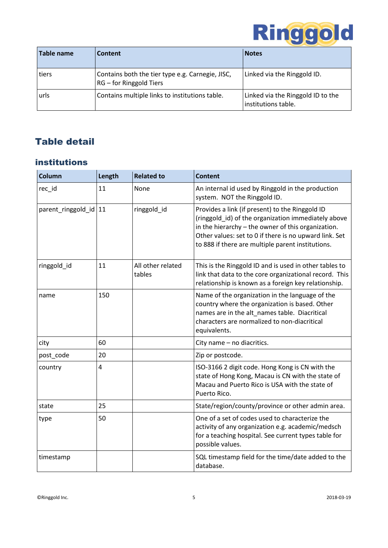

| Table name | Content                                                                     | <b>Notes</b>                                             |
|------------|-----------------------------------------------------------------------------|----------------------------------------------------------|
| tiers      | Contains both the tier type e.g. Carnegie, JISC,<br>RG - for Ringgold Tiers | Linked via the Ringgold ID.                              |
| urls       | Contains multiple links to institutions table.                              | Linked via the Ringgold ID to the<br>institutions table. |

# <span id="page-4-0"></span>Table detail

# <span id="page-4-1"></span>institutions

| <b>Column</b>           | Length | <b>Related to</b>           | <b>Content</b>                                                                                                                                                                                                                                                              |
|-------------------------|--------|-----------------------------|-----------------------------------------------------------------------------------------------------------------------------------------------------------------------------------------------------------------------------------------------------------------------------|
| rec_id                  | 11     | None                        | An internal id used by Ringgold in the production<br>system. NOT the Ringgold ID.                                                                                                                                                                                           |
| parent_ringgold_id   11 |        | ringgold_id                 | Provides a link (if present) to the Ringgold ID<br>(ringgold_id) of the organization immediately above<br>in the hierarchy - the owner of this organization.<br>Other values: set to 0 if there is no upward link. Set<br>to 888 if there are multiple parent institutions. |
| ringgold_id             | 11     | All other related<br>tables | This is the Ringgold ID and is used in other tables to<br>link that data to the core organizational record. This<br>relationship is known as a foreign key relationship.                                                                                                    |
| name                    | 150    |                             | Name of the organization in the language of the<br>country where the organization is based. Other<br>names are in the alt_names table. Diacritical<br>characters are normalized to non-diacritical<br>equivalents.                                                          |
| city                    | 60     |                             | City name - no diacritics.                                                                                                                                                                                                                                                  |
| post_code               | 20     |                             | Zip or postcode.                                                                                                                                                                                                                                                            |
| country                 | 4      |                             | ISO-3166 2 digit code. Hong Kong is CN with the<br>state of Hong Kong, Macau is CN with the state of<br>Macau and Puerto Rico is USA with the state of<br>Puerto Rico.                                                                                                      |
| state                   | 25     |                             | State/region/county/province or other admin area.                                                                                                                                                                                                                           |
| type                    | 50     |                             | One of a set of codes used to characterize the<br>activity of any organization e.g. academic/medsch<br>for a teaching hospital. See current types table for<br>possible values.                                                                                             |
| timestamp               |        |                             | SQL timestamp field for the time/date added to the<br>database.                                                                                                                                                                                                             |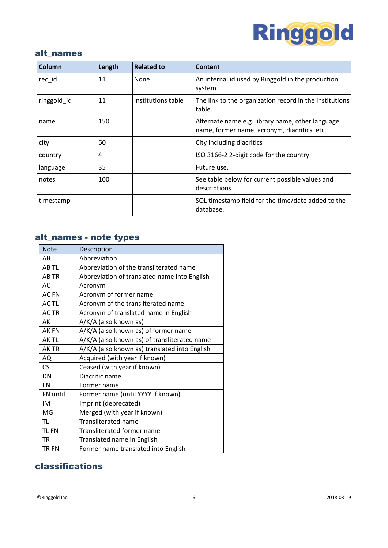

#### <span id="page-5-0"></span>alt\_names

| Column      | Length | <b>Related to</b>  | <b>Content</b>                                                                                   |
|-------------|--------|--------------------|--------------------------------------------------------------------------------------------------|
| rec_id      | 11     | None               | An internal id used by Ringgold in the production<br>system.                                     |
| ringgold id | 11     | Institutions table | The link to the organization record in the institutions<br>table.                                |
| name        | 150    |                    | Alternate name e.g. library name, other language<br>name, former name, acronym, diacritics, etc. |
| city        | 60     |                    | City including diacritics                                                                        |
| country     | 4      |                    | ISO 3166-2 2-digit code for the country.                                                         |
| language    | 35     |                    | Future use.                                                                                      |
| notes       | 100    |                    | See table below for current possible values and<br>descriptions.                                 |
| timestamp   |        |                    | SQL timestamp field for the time/date added to the<br>database.                                  |

# <span id="page-5-1"></span>alt\_names - note types

| <b>Note</b> | Description                                   |
|-------------|-----------------------------------------------|
| AB          | Abbreviation                                  |
| AB TL       | Abbreviation of the transliterated name       |
| <b>ABTR</b> | Abbreviation of translated name into English  |
| AC          | Acronym                                       |
| <b>ACFN</b> | Acronym of former name                        |
| AC TL       | Acronym of the transliterated name            |
| <b>ACTR</b> | Acronym of translated name in English         |
| AK          | A/K/A (also known as)                         |
| <b>AKFN</b> | A/K/A (also known as) of former name          |
| AK TL       | A/K/A (also known as) of transliterated name  |
| <b>AKTR</b> | A/K/A (also known as) translated into English |
| AQ          | Acquired (with year if known)                 |
| CS          | Ceased (with year if known)                   |
| DN          | Diacritic name                                |
| <b>FN</b>   | Former name                                   |
| FN until    | Former name (until YYYY if known)             |
| IM          | Imprint (deprecated)                          |
| MG          | Merged (with year if known)                   |
| TL.         | <b>Transliterated name</b>                    |
| <b>TLFN</b> | <b>Transliterated former name</b>             |
| <b>TR</b>   | Translated name in English                    |
| TR FN       | Former name translated into English           |

# <span id="page-5-2"></span>classifications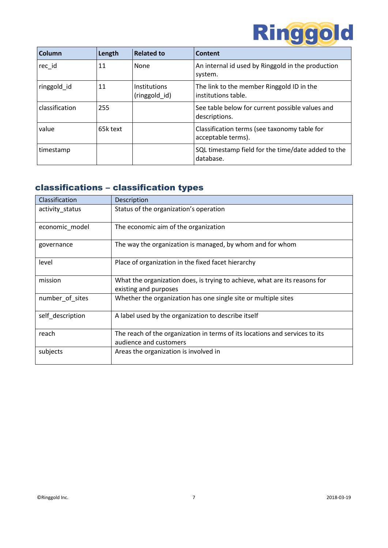

| Column         | Length   | <b>Related to</b>             | <b>Content</b>                                                     |
|----------------|----------|-------------------------------|--------------------------------------------------------------------|
| rec id         | 11       | None                          | An internal id used by Ringgold in the production<br>system.       |
| ringgold id    | 11       | Institutions<br>(ringgold_id) | The link to the member Ringgold ID in the<br>institutions table.   |
| classification | 255      |                               | See table below for current possible values and<br>descriptions.   |
| value          | 65k text |                               | Classification terms (see taxonomy table for<br>acceptable terms). |
| timestamp      |          |                               | SQL timestamp field for the time/date added to the<br>database.    |

# <span id="page-6-0"></span>classifications – classification types

| Classification   | Description                                                                                           |
|------------------|-------------------------------------------------------------------------------------------------------|
| activity_status  | Status of the organization's operation                                                                |
| economic_model   | The economic aim of the organization                                                                  |
| governance       | The way the organization is managed, by whom and for whom                                             |
| level            | Place of organization in the fixed facet hierarchy                                                    |
| mission          | What the organization does, is trying to achieve, what are its reasons for<br>existing and purposes   |
| number of sites  | Whether the organization has one single site or multiple sites                                        |
| self_description | A label used by the organization to describe itself                                                   |
| reach            | The reach of the organization in terms of its locations and services to its<br>audience and customers |
| subjects         | Areas the organization is involved in                                                                 |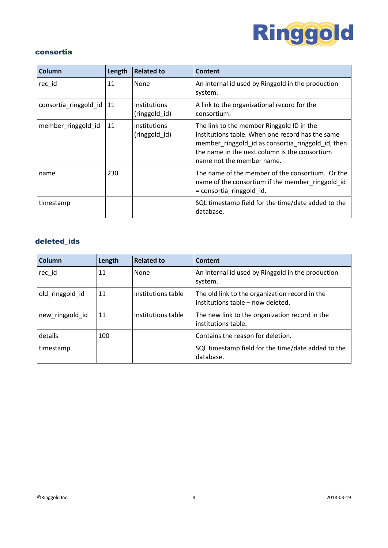

#### consortia

| Column                | Length | <b>Related to</b>             | <b>Content</b>                                                                                                                                                                                                                   |
|-----------------------|--------|-------------------------------|----------------------------------------------------------------------------------------------------------------------------------------------------------------------------------------------------------------------------------|
| rec id                | 11     | None                          | An internal id used by Ringgold in the production<br>system.                                                                                                                                                                     |
| consortia_ringgold_id | 11     | Institutions<br>(ringgold_id) | A link to the organizational record for the<br>consortium.                                                                                                                                                                       |
| member_ringgold_id    | 11     | Institutions<br>(ringgold id) | The link to the member Ringgold ID in the<br>institutions table. When one record has the same<br>member_ringgold_id as consortia_ringgold_id, then<br>the name in the next column is the consortium<br>name not the member name. |
| name                  | 230    |                               | The name of the member of the consortium. Or the<br>name of the consortium if the member ringgold id<br>= consortia_ringgold_id.                                                                                                 |
| timestamp             |        |                               | SQL timestamp field for the time/date added to the<br>database.                                                                                                                                                                  |

### deleted\_ids

| Column          | Length | <b>Related to</b>  | Content                                                                             |
|-----------------|--------|--------------------|-------------------------------------------------------------------------------------|
| rec_id          | 11     | <b>None</b>        | An internal id used by Ringgold in the production<br>system.                        |
| old ringgold id | 11     | Institutions table | The old link to the organization record in the<br>institutions table - now deleted. |
| new_ringgold_id | 11     | Institutions table | The new link to the organization record in the<br>institutions table.               |
| details         | 100    |                    | Contains the reason for deletion.                                                   |
| timestamp       |        |                    | SQL timestamp field for the time/date added to the<br>database.                     |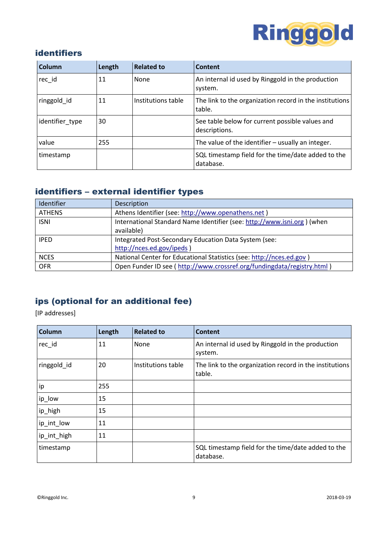

# <span id="page-8-0"></span>identifiers

| Column          | Length | <b>Related to</b>  | Content                                                           |
|-----------------|--------|--------------------|-------------------------------------------------------------------|
| rec id          | 11     | None               | An internal id used by Ringgold in the production<br>system.      |
| ringgold id     | 11     | Institutions table | The link to the organization record in the institutions<br>table. |
| identifier_type | 30     |                    | See table below for current possible values and<br>descriptions.  |
| value           | 255    |                    | The value of the identifier $-$ usually an integer.               |
| timestamp       |        |                    | SQL timestamp field for the time/date added to the<br>database.   |

# <span id="page-8-1"></span>identifiers – external identifier types

| Identifier    | Description                                                              |
|---------------|--------------------------------------------------------------------------|
| <b>ATHENS</b> | Athens Identifier (see: http://www.openathens.net)                       |
| <b>ISNI</b>   | International Standard Name Identifier (see: http://www.isni.org) (when  |
|               | available)                                                               |
| <b>IPED</b>   | Integrated Post-Secondary Education Data System (see:                    |
|               | http://nces.ed.gov/ipeds)                                                |
| <b>NCES</b>   | National Center for Educational Statistics (see: http://nces.ed.gov)     |
| <b>OFR</b>    | Open Funder ID see ( http://www.crossref.org/fundingdata/registry.html ) |

# <span id="page-8-2"></span>ips (optional for an additional fee)

[IP addresses]

| Column      | Length | <b>Related to</b>  | <b>Content</b>                                                    |
|-------------|--------|--------------------|-------------------------------------------------------------------|
| rec_id      | 11     | None               | An internal id used by Ringgold in the production<br>system.      |
| ringgold_id | 20     | Institutions table | The link to the organization record in the institutions<br>table. |
| ip          | 255    |                    |                                                                   |
| ip_low      | 15     |                    |                                                                   |
| ip_high     | 15     |                    |                                                                   |
| ip_int_low  | 11     |                    |                                                                   |
| ip_int_high | 11     |                    |                                                                   |
| timestamp   |        |                    | SQL timestamp field for the time/date added to the<br>database.   |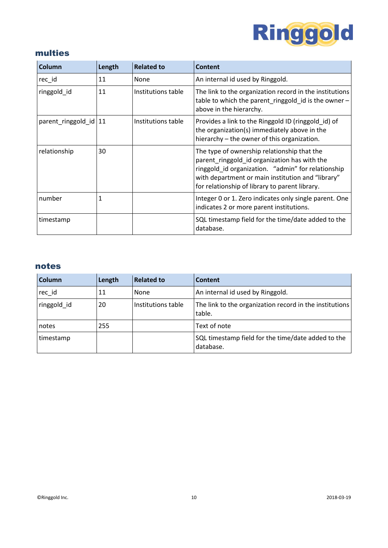

# <span id="page-9-0"></span>multies

| <b>Column</b>           | Length | <b>Related to</b>  | Content                                                                                                                                                                                                                                                  |
|-------------------------|--------|--------------------|----------------------------------------------------------------------------------------------------------------------------------------------------------------------------------------------------------------------------------------------------------|
| rec_id                  | 11     | None               | An internal id used by Ringgold.                                                                                                                                                                                                                         |
| ringgold id             | 11     | Institutions table | The link to the organization record in the institutions<br>table to which the parent_ringgold_id is the owner -<br>above in the hierarchy.                                                                                                               |
| parent_ringgold_id   11 |        | Institutions table | Provides a link to the Ringgold ID (ringgold id) of<br>the organization(s) immediately above in the<br>hierarchy – the owner of this organization.                                                                                                       |
| relationship            | 30     |                    | The type of ownership relationship that the<br>parent_ringgold_id organization has with the<br>ringgold_id organization. "admin" for relationship<br>with department or main institution and "library"<br>for relationship of library to parent library. |
| number                  | 1      |                    | Integer 0 or 1. Zero indicates only single parent. One<br>indicates 2 or more parent institutions.                                                                                                                                                       |
| timestamp               |        |                    | SQL timestamp field for the time/date added to the<br>database.                                                                                                                                                                                          |

#### <span id="page-9-1"></span>notes

| <b>Column</b> | Length | <b>Related to</b>  | Content                                                           |
|---------------|--------|--------------------|-------------------------------------------------------------------|
| rec_id        | 11     | None               | An internal id used by Ringgold.                                  |
| ringgold id   | 20     | Institutions table | The link to the organization record in the institutions<br>table. |
| notes         | 255    |                    | Text of note                                                      |
| timestamp     |        |                    | SQL timestamp field for the time/date added to the<br>database.   |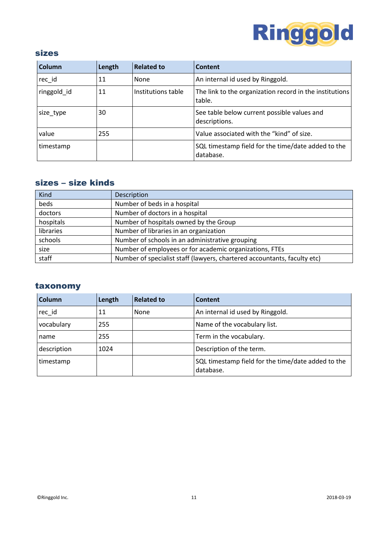

#### <span id="page-10-0"></span>sizes

| Column      | Length | <b>Related to</b>  | <b>Content</b>                                                    |
|-------------|--------|--------------------|-------------------------------------------------------------------|
| rec id      | 11     | None               | An internal id used by Ringgold.                                  |
| ringgold id | 11     | Institutions table | The link to the organization record in the institutions<br>table. |
| size_type   | 30     |                    | See table below current possible values and<br>descriptions.      |
| value       | 255    |                    | Value associated with the "kind" of size.                         |
| timestamp   |        |                    | SQL timestamp field for the time/date added to the<br>database.   |

# <span id="page-10-1"></span>sizes – size kinds

| Kind      | Description                                                              |
|-----------|--------------------------------------------------------------------------|
| beds      | Number of beds in a hospital                                             |
| doctors   | Number of doctors in a hospital                                          |
| hospitals | Number of hospitals owned by the Group                                   |
| libraries | Number of libraries in an organization                                   |
| schools   | Number of schools in an administrative grouping                          |
| size      | Number of employees or for academic organizations, FTEs                  |
| staff     | Number of specialist staff (lawyers, chartered accountants, faculty etc) |

### <span id="page-10-2"></span>taxonomy

| Column      | Length | <b>Related to</b> | Content                                                         |
|-------------|--------|-------------------|-----------------------------------------------------------------|
| rec id      | 11     | None              | An internal id used by Ringgold.                                |
| vocabulary  | 255    |                   | Name of the vocabulary list.                                    |
| name        | 255    |                   | Term in the vocabulary.                                         |
| description | 1024   |                   | Description of the term.                                        |
| timestamp   |        |                   | SQL timestamp field for the time/date added to the<br>database. |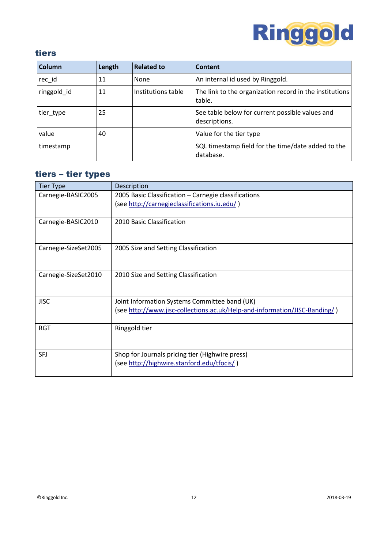

## <span id="page-11-0"></span>tiers

| Column      | Length | <b>Related to</b>  | Content                                                           |
|-------------|--------|--------------------|-------------------------------------------------------------------|
| rec id      | 11     | None               | An internal id used by Ringgold.                                  |
| ringgold id | 11     | Institutions table | The link to the organization record in the institutions<br>table. |
| tier_type   | 25     |                    | See table below for current possible values and<br>descriptions.  |
| value       | 40     |                    | Value for the tier type                                           |
| timestamp   |        |                    | SQL timestamp field for the time/date added to the<br>database.   |

# <span id="page-11-1"></span>tiers – tier types

| <b>Tier Type</b>     | Description                                                                |
|----------------------|----------------------------------------------------------------------------|
| Carnegie-BASIC2005   | 2005 Basic Classification - Carnegie classifications                       |
|                      | (see http://carnegieclassifications.iu.edu/)                               |
|                      |                                                                            |
| Carnegie-BASIC2010   | 2010 Basic Classification                                                  |
|                      |                                                                            |
| Carnegie-SizeSet2005 | 2005 Size and Setting Classification                                       |
|                      |                                                                            |
|                      |                                                                            |
| Carnegie-SizeSet2010 | 2010 Size and Setting Classification                                       |
|                      |                                                                            |
| <b>JISC</b>          | Joint Information Systems Committee band (UK)                              |
|                      | (see http://www.jisc-collections.ac.uk/Help-and-information/JISC-Banding/) |
| <b>RGT</b>           | Ringgold tier                                                              |
|                      |                                                                            |
|                      |                                                                            |
| <b>SFJ</b>           | Shop for Journals pricing tier (Highwire press)                            |
|                      | (see http://highwire.stanford.edu/tfocis/)                                 |
|                      |                                                                            |